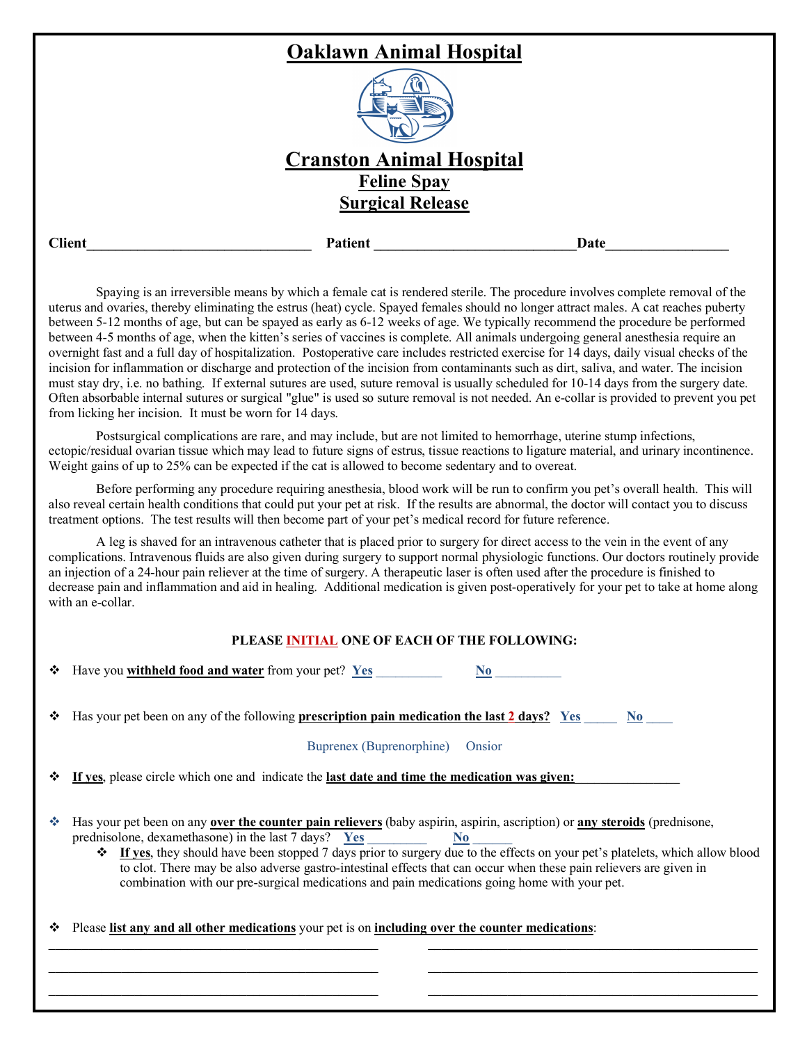|               | <b>Oaklawn Animal Hospital</b>  |      |
|---------------|---------------------------------|------|
|               | .                               |      |
|               | <b>Cranston Animal Hospital</b> |      |
|               | <b>Feline Spay</b>              |      |
|               | <b>Surgical Release</b>         |      |
| <b>Client</b> | Patient                         | Date |

Spaying is an irreversible means by which a female cat is rendered sterile. The procedure involves complete removal of the uterus and ovaries, thereby eliminating the estrus (heat) cycle. Spayed females should no longer attract males. A cat reaches puberty between 5-12 months of age, but can be spayed as early as 6-12 weeks of age. We typically recommend the procedure be performed between 4-5 months of age, when the kitten's series of vaccines is complete. All animals undergoing general anesthesia require an overnight fast and a full day of hospitalization. Postoperative care includes restricted exercise for 14 days, daily visual checks of the incision for inflammation or discharge and protection of the incision from contaminants such as dirt, saliva, and water. The incision must stay dry, i.e. no bathing. If external sutures are used, suture removal is usually scheduled for 10-14 days from the surgery date. Often absorbable internal sutures or surgical "glue" is used so suture removal is not needed. An e-collar is provided to prevent you pet from licking her incision. It must be worn for 14 days.

Postsurgical complications are rare, and may include, but are not limited to hemorrhage, uterine stump infections, ectopic/residual ovarian tissue which may lead to future signs of estrus, tissue reactions to ligature material, and urinary incontinence. Weight gains of up to 25% can be expected if the cat is allowed to become sedentary and to overeat.

Before performing any procedure requiring anesthesia, blood work will be run to confirm you pet's overall health. This will also reveal certain health conditions that could put your pet at risk. If the results are abnormal, the doctor will contact you to discuss treatment options. The test results will then become part of your pet's medical record for future reference.

A leg is shaved for an intravenous catheter that is placed prior to surgery for direct access to the vein in the event of any complications. Intravenous fluids are also given during surgery to support normal physiologic functions. Our doctors routinely provide an injection of a 24-hour pain reliever at the time of surgery. A therapeutic laser is often used after the procedure is finished to decrease pain and inflammation and aid in healing. Additional medication is given post-operatively for your pet to take at home along with an e-collar.

## **PLEASE INITIAL ONE OF EACH OF THE FOLLOWING:**

|     | $\div$ Have you withheld food and water from your pet? Yes<br>No.                                                                                                                                                                                                                                                                                                                                                                                                                                                                                                        |  |  |  |
|-----|--------------------------------------------------------------------------------------------------------------------------------------------------------------------------------------------------------------------------------------------------------------------------------------------------------------------------------------------------------------------------------------------------------------------------------------------------------------------------------------------------------------------------------------------------------------------------|--|--|--|
| ❖   | Has your pet been on any of the following <b>prescription pain medication the last 2 days?</b> Yes<br>$\bf No$                                                                                                                                                                                                                                                                                                                                                                                                                                                           |  |  |  |
|     | Buprenex (Buprenorphine)<br>Onsior                                                                                                                                                                                                                                                                                                                                                                                                                                                                                                                                       |  |  |  |
|     | $\div$ If ves, please circle which one and indicate the last date and time the medication was given:                                                                                                                                                                                                                                                                                                                                                                                                                                                                     |  |  |  |
| -66 | Has your pet been on any over the counter pain relievers (baby aspirin, aspirin, ascription) or any steroids (prednisone,<br>prednisolone, dexamethasone) in the last 7 days? $Yes$ $\overline{Yes}$ $No$<br><b> ↑</b> If yes, they should have been stopped 7 days prior to surgery due to the effects on your pet's platelets, which allow blood<br>to clot. There may be also adverse gastro-intestinal effects that can occur when these pain relievers are given in<br>combination with our pre-surgical medications and pain medications going home with your pet. |  |  |  |

 $\mathcal{L} = \{ \mathcal{L} \}$ **\_\_\_\_\_\_\_\_\_\_\_\_\_\_\_\_\_\_\_\_\_\_\_\_\_\_\_\_\_\_\_\_\_\_\_\_\_\_\_\_\_\_\_\_\_\_\_\_\_\_ \_\_\_\_\_\_\_\_\_\_\_\_\_\_\_\_\_\_\_\_\_\_\_\_\_\_\_\_\_\_\_\_\_\_\_\_\_\_\_\_\_\_\_\_\_\_\_\_\_\_**

v Please **list any and all other medications** your pet is on **including over the counter medications**:

 $\mathcal{L} = \{ \mathcal{L} \}$ **\_\_\_\_\_\_\_\_\_\_\_\_\_\_\_\_\_\_\_\_\_\_\_\_\_\_\_\_\_\_\_\_\_\_\_\_\_\_\_\_\_\_\_\_\_\_\_\_\_\_ \_\_\_\_\_\_\_\_\_\_\_\_\_\_\_\_\_\_\_\_\_\_\_\_\_\_\_\_\_\_\_\_\_\_\_\_\_\_\_\_\_\_\_\_\_\_\_\_\_\_**